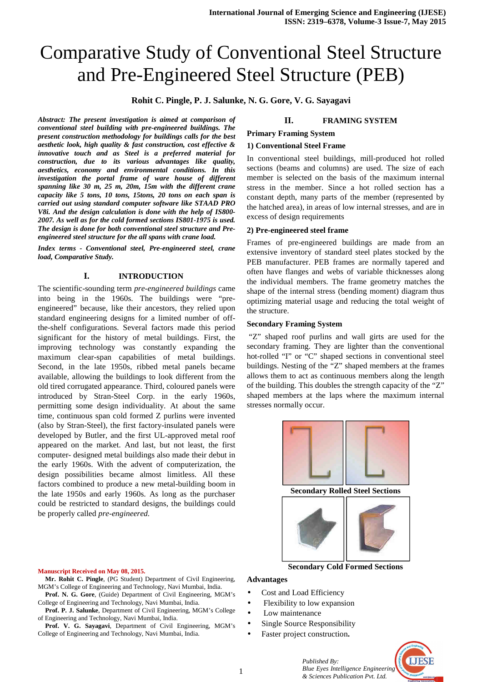# Comparative Study of Conventional Steel Structure and Pre-Engineered Steel Structure (PEB)

### **Rohit C. Pingle, P. J. Salunke, N. G. Gore, V. G. Sayagavi**

*Abstract: The present investigation is aimed at comparison of conventional steel building with pre-engineered buildings. The present construction methodology for buildings calls for the best aesthetic look, high quality & fast construction, cost effective & innovative touch and as Steel is a preferred material for construction, due to its various advantages like quality, aesthetics, economy and environmental conditions. In this investigation the portal frame of ware house of different spanning like 30 m, 25 m, 20m, 15m with the different crane capacity like 5 tons, 10 tons, 15tons, 20 tons on each span is carried out using standard computer software like STAAD PRO V8i. And the design calculation is done with the help of IS800- 2007. As well as for the cold formed sections IS801-1975 is used. The design is done for both conventional steel structure and Preengineered steel structure for the all spans with crane load.* 

*Index terms - Conventional steel, Pre-engineered steel, crane load, Comparative Study.* 

### **I. INTRODUCTION**

The scientific-sounding term *pre-engineered buildings* came into being in the 1960s. The buildings were "preengineered" because, like their ancestors, they relied upon standard engineering designs for a limited number of offthe-shelf configurations. Several factors made this period significant for the history of metal buildings. First, the improving technology was constantly expanding the maximum clear-span capabilities of metal buildings. Second, in the late 1950s, ribbed metal panels became available, allowing the buildings to look different from the old tired corrugated appearance. Third, coloured panels were introduced by Stran-Steel Corp. in the early 1960s, permitting some design individuality. At about the same time, continuous span cold formed Z purlins were invented (also by Stran-Steel), the first factory-insulated panels were developed by Butler, and the first UL-approved metal roof appeared on the market. And last, but not least, the first computer- designed metal buildings also made their debut in the early 1960s. With the advent of computerization, the design possibilities became almost limitless. All these factors combined to produce a new metal-building boom in the late 1950s and early 1960s. As long as the purchaser could be restricted to standard designs, the buildings could be properly called *pre-engineered.* 

### **Manuscript Received on May 08, 2015.**

- **Mr. Rohit C. Pingle**, (PG Student) Department of Civil Engineering, MGM's College of Engineering and Technology, Navi Mumbai, India.
- **Prof. N. G. Gore**, (Guide) Department of Civil Engineering, MGM's College of Engineering and Technology, Navi Mumbai, India.
- **Prof. P. J. Salunke**, Department of Civil Engineering, MGM's College of Engineering and Technology, Navi Mumbai, India.
- **Prof. V. G. Sayagavi**, Department of Civil Engineering, MGM's College of Engineering and Technology, Navi Mumbai, India.

### **II. FRAMING SYSTEM**

### **Primary Framing System**

### **1) Conventional Steel Frame**

In conventional steel buildings, mill-produced hot rolled sections (beams and columns) are used. The size of each member is selected on the basis of the maximum internal stress in the member. Since a hot rolled section has a constant depth, many parts of the member (represented by the hatched area), in areas of low internal stresses, and are in excess of design requirements

### **2) Pre-engineered steel frame**

Frames of pre-engineered buildings are made from an extensive inventory of standard steel plates stocked by the PEB manufacturer. PEB frames are normally tapered and often have flanges and webs of variable thicknesses along the individual members. The frame geometry matches the shape of the internal stress (bending moment) diagram thus optimizing material usage and reducing the total weight of the structure.

### **Secondary Framing System**

 "Z" shaped roof purlins and wall girts are used for the secondary framing. They are lighter than the conventional hot-rolled "I" or "C" shaped sections in conventional steel buildings. Nesting of the "Z" shaped members at the frames allows them to act as continuous members along the length of the building. This doubles the strength capacity of the "Z" shaped members at the laps where the maximum internal stresses normally occur.





### **Secondary Cold Formed Sections**

# **Advantages**

- Cost and Load Efficiency
- Flexibility to low expansion
- Low maintenance
- Single Source Responsibility
- Faster project construction**.**



*Published By: Blue Eyes Intelligence Engineering & Sciences Publication Pvt. Ltd.*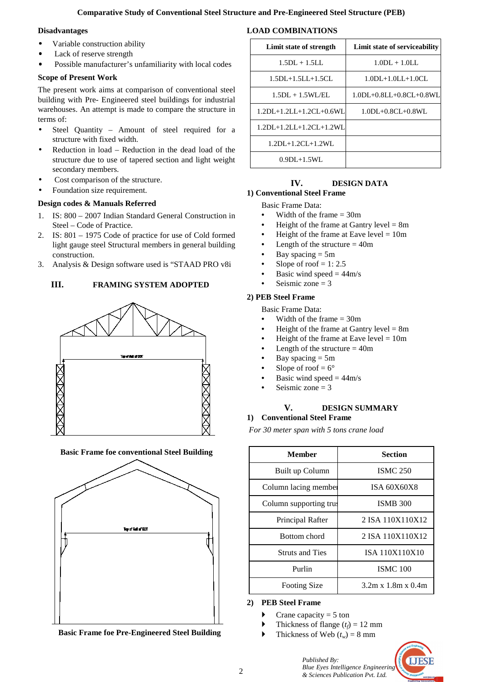### **Comparative Study of Conventional Steel Structure and Pre-Engineered Steel Structure (PEB)**

### **Disadvantages**

- Variable construction ability
- Lack of reserve strength
- Possible manufacturer's unfamiliarity with local codes

# **Scope of Present Work**

The present work aims at comparison of conventional steel building with Pre- Engineered steel buildings for industrial warehouses. An attempt is made to compare the structure in terms of:

- Steel Quantity Amount of steel required for a structure with fixed width.
- Reduction in load Reduction in the dead load of the structure due to use of tapered section and light weight secondary members.
- Cost comparison of the structure.
- Foundation size requirement.

# **Design codes & Manuals Referred**

- 1. IS: 800 2007 Indian Standard General Construction in Steel – Code of Practice.
- 2. IS: 801 1975 Code of practice for use of Cold formed light gauge steel Structural members in general building construction.
- 3. Analysis & Design software used is "STAAD PRO v8i

# **III. FRAMING SYSTEM ADOPTED**







**Basic Frame foe Pre-Engineered Steel Building**

| Limit state of strength   | Limit state of serviceability   |
|---------------------------|---------------------------------|
| $1.5DL + 1.5LL$           | $1.0DL + 1.0LL$                 |
| $1.5DL + 1.5LL + 1.5CL$   | $1.0DL+1.0LL+1.0CL$             |
| $1.5DL + 1.5WI / EI$      | $1.0DL + 0.8LL + 0.8CL + 0.8WL$ |
| $1.2DL+1.2LL+1.2CL+0.6WL$ | $1.0DL + 0.8CL + 0.8WL$         |
| $1.2DL+1.2LL+1.2CL+1.2WL$ |                                 |
| $1.2DL+1.2CL+1.2WL$       |                                 |
| $0.9DL + 1.5WL$           |                                 |

# **IV. DESIGN DATA**

# **1) Conventional Steel Frame**

Basic Frame Data:

- Width of the frame  $= 30$ m
- Height of the frame at Gantry level  $= 8m$
- Height of the frame at Eave level  $= 10m$
- Length of the structure  $= 40m$
- Bay spacing  $= 5m$
- Slope of roof  $= 1: 2.5$
- Basic wind speed  $=$  44m/s
- Seismic zone  $= 3$

## **2) PEB Steel Frame**

Basic Frame Data:

- Width of the frame  $= 30m$
- Height of the frame at Gantry level  $= 8m$
- Height of the frame at Eave level  $= 10m$
- Length of the structure  $= 40m$
- Bay spacing  $= 5m$
- Slope of roof =  $6^{\circ}$
- Basic wind speed  $= 44$ m/s
- Seismic zone  $= 3$

# **V. DESIGN SUMMARY**

# **1) Conventional Steel Frame**

*For 30 meter span with 5 tons crane load*

| <b>Member</b>          | <b>Section</b>                 |
|------------------------|--------------------------------|
| Built up Column        | <b>ISMC 250</b>                |
| Column lacing member   | ISA 60X60X8                    |
| Column supporting trus | <b>ISMB 300</b>                |
| Principal Rafter       | 2 ISA 110X110X12               |
| Bottom chord           | 2 ISA 110X110X12               |
| <b>Struts and Ties</b> | ISA 110X110X10                 |
| Purlin                 | <b>ISMC 100</b>                |
| <b>Footing Size</b>    | $3.2m \times 1.8m \times 0.4m$ |

### **2) PEB Steel Frame**

- Crane capacity  $= 5$  ton
- Thickness of flange  $(t_f) = 12$  mm
- Thickness of Web  $(t_w) = 8$  mm



*Published By: Blue Eyes Intelligence Engineering & Sciences Publication Pvt. Ltd.*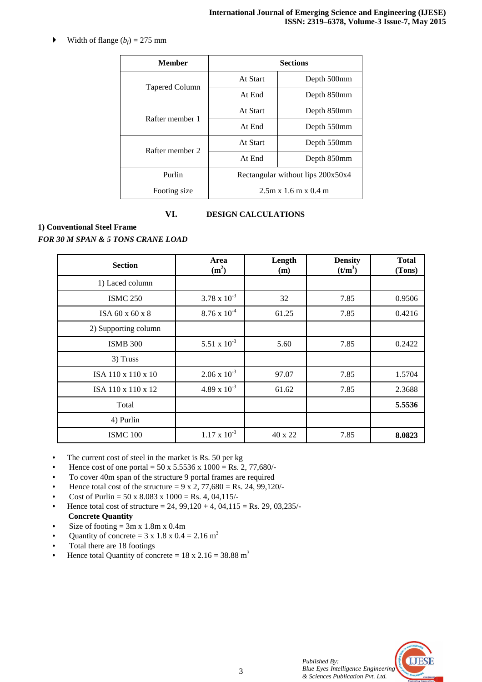$\blacktriangleright$  Width of flange  $(b_f) = 275$  mm

| <b>Member</b>         | <b>Sections</b>                   |             |
|-----------------------|-----------------------------------|-------------|
|                       | At Start                          | Depth 500mm |
| <b>Tapered Column</b> | At End                            | Depth 850mm |
| Rafter member 1       | At Start                          | Depth 850mm |
|                       | At End                            | Depth 550mm |
| Rafter member 2       | At Start                          | Depth 550mm |
|                       | At End                            | Depth 850mm |
| Purlin                | Rectangular without lips 200x50x4 |             |
| Footing size          | $2.5m \times 1.6m \times 0.4m$    |             |

# **VI. DESIGN CALCULATIONS**

**1) Conventional Steel Frame** 

*FOR 30 M SPAN & 5 TONS CRANE LOAD* 

| <b>Section</b>       | Area<br>(m <sup>2</sup> ) | Length<br>(m) | <b>Density</b><br>(t/m <sup>3</sup> ) | <b>Total</b><br>(Tons) |
|----------------------|---------------------------|---------------|---------------------------------------|------------------------|
| 1) Laced column      |                           |               |                                       |                        |
| <b>ISMC 250</b>      | $3.78 \times 10^{-3}$     | 32            | 7.85                                  | 0.9506                 |
| ISA 60 x 60 x 8      | $8.76 \times 10^{-4}$     | 61.25         | 7.85                                  | 0.4216                 |
| 2) Supporting column |                           |               |                                       |                        |
| <b>ISMB 300</b>      | 5.51 x $10^{-3}$          | 5.60          | 7.85                                  | 0.2422                 |
| 3) Truss             |                           |               |                                       |                        |
| ISA 110 x 110 x 10   | $2.06 \times 10^{-3}$     | 97.07         | 7.85                                  | 1.5704                 |
| ISA 110 x 110 x 12   | $4.89 \times 10^{-3}$     | 61.62         | 7.85                                  | 2.3688                 |
| Total                |                           |               |                                       | 5.5536                 |
| 4) Purlin            |                           |               |                                       |                        |
| <b>ISMC 100</b>      | $1.17 \times 10^{-3}$     | 40 x 22       | 7.85                                  | 8.0823                 |

- The current cost of steel in the market is Rs. 50 per kg
- Hence cost of one portal =  $50 \times 5.5536 \times 1000 = \text{Rs. } 2, 77,680/$
- To cover 40m span of the structure 9 portal frames are required
- Hence total cost of the structure =  $9 \times 2$ , 77,680 = Rs. 24, 99,120/-
- Cost of Purlin =  $50 \times 8.083 \times 1000 = \text{Rs. } 4, 04,115/$
- Hence total cost of structure = 24,  $99,120 + 4, 04,115 = \text{Rs. } 29, 03,235/$ **Concrete Quantity**
- Size of footing  $= 3m \times 1.8m \times 0.4m$
- Quantity of concrete =  $3 \times 1.8 \times 0.4 = 2.16$  m<sup>3</sup>
- Total there are 18 footings
- Hence total Quantity of concrete =  $18 \times 2.16 = 38.88 \text{ m}^3$

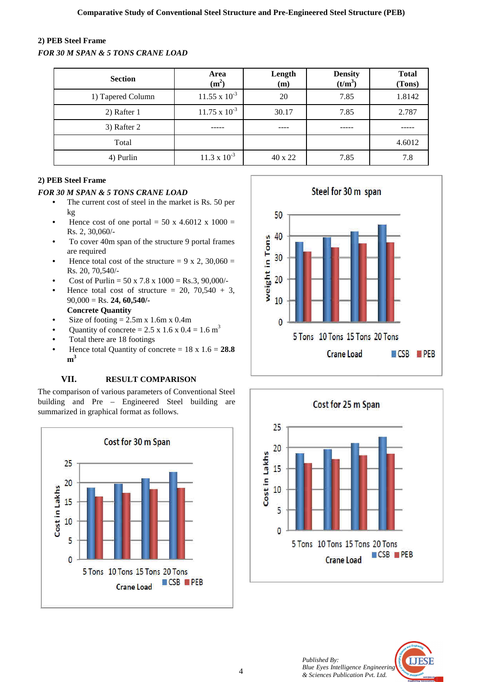# **2) PEB Steel Frame**

*FOR 30 M SPAN & 5 TONS CRANE LOAD* 

| <b>Section</b>    | Area<br>(m <sup>2</sup> ) | Length<br>(m) | <b>Density</b><br>$(t/m^3)$ | <b>Total</b><br>(Tons) |
|-------------------|---------------------------|---------------|-----------------------------|------------------------|
| 1) Tapered Column | $11.55 \times 10^{-3}$    | 20            | 7.85                        | 1.8142                 |
| 2) Rafter 1       | $11.75 \times 10^{-3}$    | 30.17         | 7.85                        | 2.787                  |
| 3) Rafter 2       |                           |               |                             |                        |
| Total             |                           |               |                             | 4.6012                 |
| 4) Purlin         | $11.3 \times 10^{-3}$     | 40 x 22       | 7.85                        | 7.8                    |

# **2) PEB Steel Frame**

# *FOR 30 M SPAN & 5 TONS CRANE LOAD*

- The current cost of steel in the market is Rs. 50 per kg
- Hence cost of one portal = 50 x 4.6012 x 1000 = Rs. 2, 30,060/-
- To cover 40m span of the structure 9 portal frames are required
- Hence total cost of the structure =  $9 \times 2$ , 30,060 = Rs. 20, 70,540/-
- Cost of Purlin =  $50 \times 7.8 \times 1000 =$  Rs.3, 90,000/-
- Hence total cost of structure =  $20$ ,  $70,540 + 3$ , 90,000 = Rs. **24, 60,540/- Concrete Quantity**
- Size of footing  $= 2.5$ m x 1.6m x 0.4m
- Quantity of concrete = 2.5 x 1.6 x 0.4 = 1.6 m<sup>3</sup>
- Total there are 18 footings
- Hence total Quantity of concrete  $= 18 \times 1.6 = 28.8$ **m 3**

# **VII. RESULT COMPARISON**

The comparison of various parameters of Conventional Steel building and Pre – Engineered Steel building are summarized in graphical format as follows.